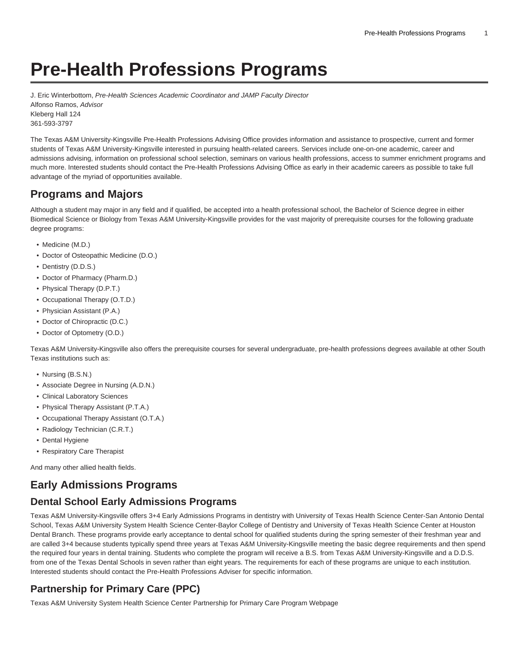# **Pre-Health Professions Programs**

J. Eric Winterbottom, Pre-Health Sciences Academic Coordinator and JAMP Faculty Director Alfonso Ramos, Advisor Kleberg Hall 124 361-593-3797

The Texas A&M University-Kingsville Pre-Health Professions Advising Office provides information and assistance to prospective, current and former students of Texas A&M University-Kingsville interested in pursuing health-related careers. Services include one-on-one academic, career and admissions advising, information on professional school selection, seminars on various health professions, access to summer enrichment programs and much more. Interested students should contact the Pre-Health Professions Advising Office as early in their academic careers as possible to take full advantage of the myriad of opportunities available.

# **Programs and Majors**

Although a student may major in any field and if qualified, be accepted into a health professional school, the Bachelor of Science degree in either Biomedical Science or Biology from Texas A&M University-Kingsville provides for the vast majority of prerequisite courses for the following graduate degree programs:

- Medicine (M.D.)
- Doctor of Osteopathic Medicine (D.O.)
- Dentistry (D.D.S.)
- Doctor of Pharmacy (Pharm.D.)
- Physical Therapy (D.P.T.)
- Occupational Therapy (O.T.D.)
- Physician Assistant (P.A.)
- Doctor of Chiropractic (D.C.)
- Doctor of Optometry (O.D.)

Texas A&M University-Kingsville also offers the prerequisite courses for several undergraduate, pre-health professions degrees available at other South Texas institutions such as:

- Nursing (B.S.N.)
- Associate Degree in Nursing (A.D.N.)
- Clinical Laboratory Sciences
- Physical Therapy Assistant (P.T.A.)
- Occupational Therapy Assistant (O.T.A.)
- Radiology Technician (C.R.T.)
- Dental Hygiene
- Respiratory Care Therapist

And many other allied health fields.

# **Early Admissions Programs**

# **Dental School Early Admissions Programs**

Texas A&M University-Kingsville offers 3+4 Early Admissions Programs in dentistry with University of Texas Health Science Center-San Antonio Dental School, Texas A&M University System Health Science Center-Baylor College of Dentistry and University of Texas Health Science Center at Houston Dental Branch. These programs provide early acceptance to dental school for qualified students during the spring semester of their freshman year and are called 3+4 because students typically spend three years at Texas A&M University-Kingsville meeting the basic degree requirements and then spend the required four years in dental training. Students who complete the program will receive a B.S. from Texas A&M University-Kingsville and a D.D.S. from one of the Texas Dental Schools in seven rather than eight years. The requirements for each of these programs are unique to each institution. Interested students should contact the Pre-Health Professions Adviser for specific information.

# **Partnership for Primary Care (PPC)**

[Texas A&M University System Health Science Center Partnership for Primary Care Program Webpage](https://medicine.tamhsc.edu/admissions/special-programs/ppc/)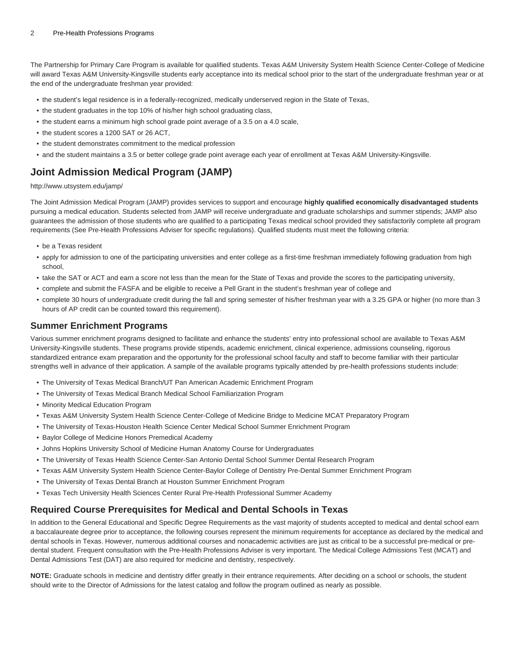The Partnership for Primary Care Program is available for qualified students. Texas A&M University System Health Science Center-College of Medicine will award Texas A&M University-Kingsville students early acceptance into its medical school prior to the start of the undergraduate freshman year or at the end of the undergraduate freshman year provided:

- the student's legal residence is in a federally-recognized, medically underserved region in the State of Texas,
- the student graduates in the top 10% of his/her high school graduating class,
- the student earns a minimum high school grade point average of a 3.5 on a 4.0 scale,
- the student scores a 1200 SAT or 26 ACT,
- the student demonstrates commitment to the medical profession
- and the student maintains a 3.5 or better college grade point average each year of enrollment at Texas A&M University-Kingsville.

# **Joint Admission Medical Program (JAMP)**

[http://www.utsystem.edu/jamp/](http://www.texasjamp.org/)

The Joint Admission Medical Program (JAMP) provides services to support and encourage **highly qualified economically disadvantaged students** pursuing a medical education. Students selected from JAMP will receive undergraduate and graduate scholarships and summer stipends; JAMP also guarantees the admission of those students who are qualified to a participating Texas medical school provided they satisfactorily complete all program requirements (See Pre-Health Professions Adviser for specific regulations). Qualified students must meet the following criteria:

- be a Texas resident
- apply for admission to one of the participating universities and enter college as a first-time freshman immediately following graduation from high school,
- take the SAT or ACT and earn a score not less than the mean for the State of Texas and provide the scores to the participating university,
- complete and submit the FASFA and be eligible to receive a Pell Grant in the student's freshman year of college and
- complete 30 hours of undergraduate credit during the fall and spring semester of his/her freshman year with a 3.25 GPA or higher (no more than 3 hours of AP credit can be counted toward this requirement).

### **Summer Enrichment Programs**

Various summer enrichment programs designed to facilitate and enhance the students' entry into professional school are available to Texas A&M University-Kingsville students. These programs provide stipends, academic enrichment, clinical experience, admissions counseling, rigorous standardized entrance exam preparation and the opportunity for the professional school faculty and staff to become familiar with their particular strengths well in advance of their application. A sample of the available programs typically attended by pre-health professions students include:

- The University of Texas Medical Branch/UT Pan American Academic Enrichment Program
- The University of Texas Medical Branch Medical School Familiarization Program
- Minority Medical Education Program
- Texas A&M University System Health Science Center-College of Medicine Bridge to Medicine MCAT Preparatory Program
- The University of Texas-Houston Health Science Center Medical School Summer Enrichment Program
- Baylor College of Medicine Honors Premedical Academy
- Johns Hopkins University School of Medicine Human Anatomy Course for Undergraduates
- The University of Texas Health Science Center-San Antonio Dental School Summer Dental Research Program
- Texas A&M University System Health Science Center-Baylor College of Dentistry Pre-Dental Summer Enrichment Program
- The University of Texas Dental Branch at Houston Summer Enrichment Program
- Texas Tech University Health Sciences Center Rural Pre-Health Professional Summer Academy

### **Required Course Prerequisites for Medical and Dental Schools in Texas**

In addition to the General Educational and Specific Degree Requirements as the vast majority of students accepted to medical and dental school earn a baccalaureate degree prior to acceptance, the following courses represent the minimum requirements for acceptance as declared by the medical and dental schools in Texas. However, numerous additional courses and nonacademic activities are just as critical to be a successful pre-medical or predental student. Frequent consultation with the Pre-Health Professions Adviser is very important. The Medical College Admissions Test (MCAT) and Dental Admissions Test (DAT) are also required for medicine and dentistry, respectively.

**NOTE:** Graduate schools in medicine and dentistry differ greatly in their entrance requirements. After deciding on a school or schools, the student should write to the Director of Admissions for the latest catalog and follow the program outlined as nearly as possible.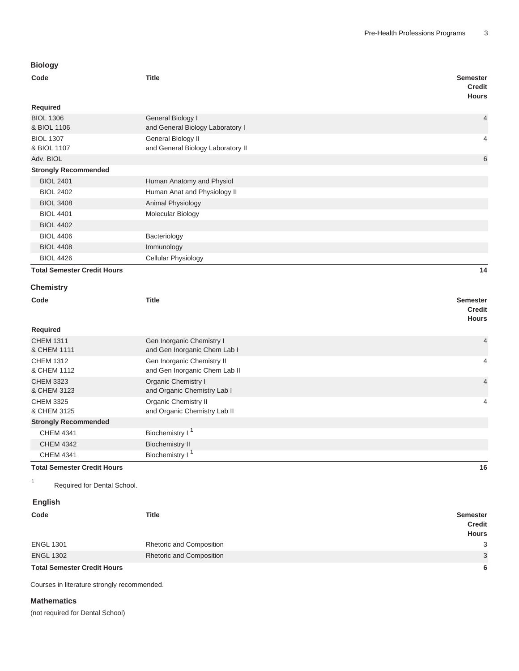# **Biology**

| <b>BIOIOGY</b>                     |                                                             |                                                  |  |
|------------------------------------|-------------------------------------------------------------|--------------------------------------------------|--|
| Code                               | <b>Title</b>                                                |                                                  |  |
| Required                           |                                                             |                                                  |  |
| <b>BIOL 1306</b><br>& BIOL 1106    | General Biology I<br>and General Biology Laboratory I       | $\overline{4}$                                   |  |
| <b>BIOL 1307</b><br>& BIOL 1107    | General Biology II<br>and General Biology Laboratory II     | 4                                                |  |
| Adv. BIOL                          |                                                             | 6                                                |  |
| <b>Strongly Recommended</b>        |                                                             |                                                  |  |
| <b>BIOL 2401</b>                   | Human Anatomy and Physiol                                   |                                                  |  |
| <b>BIOL 2402</b>                   | Human Anat and Physiology II                                |                                                  |  |
| <b>BIOL 3408</b>                   | Animal Physiology                                           |                                                  |  |
| <b>BIOL 4401</b>                   | Molecular Biology                                           |                                                  |  |
| <b>BIOL 4402</b>                   |                                                             |                                                  |  |
| <b>BIOL 4406</b>                   | Bacteriology                                                |                                                  |  |
| <b>BIOL 4408</b>                   | Immunology                                                  |                                                  |  |
| <b>BIOL 4426</b>                   | Cellular Physiology                                         |                                                  |  |
| <b>Total Semester Credit Hours</b> |                                                             | 14                                               |  |
| <b>Chemistry</b>                   |                                                             |                                                  |  |
| Code                               | <b>Title</b>                                                | <b>Semester</b><br><b>Credit</b><br><b>Hours</b> |  |
| Required                           |                                                             |                                                  |  |
| <b>CHEM 1311</b><br>& CHEM 1111    | Gen Inorganic Chemistry I<br>and Gen Inorganic Chem Lab I   | $\overline{4}$                                   |  |
| <b>CHEM 1312</b><br>& CHEM 1112    | Gen Inorganic Chemistry II<br>and Gen Inorganic Chem Lab II | $\overline{4}$                                   |  |
| <b>CHEM 3323</b><br>& CHEM 3123    | Organic Chemistry I<br>and Organic Chemistry Lab I          | $\overline{4}$                                   |  |
| <b>CHEM 3325</b><br>& CHEM 3125    | Organic Chemistry II<br>and Organic Chemistry Lab II        | $\overline{4}$                                   |  |
| <b>Strongly Recommended</b>        |                                                             |                                                  |  |
| <b>CHEM 4341</b>                   | Biochemistry I <sup>1</sup>                                 |                                                  |  |
| <b>CHEM 4342</b>                   | <b>Biochemistry II</b>                                      |                                                  |  |
| <b>CHEM 4341</b>                   | Biochemistry I <sup>1</sup>                                 |                                                  |  |

**Total Semester Credit Hours 16**

1 Required for Dental School.

### **English**

| <b>Total Semester Credit Hours</b> |                                 | -6                                               |
|------------------------------------|---------------------------------|--------------------------------------------------|
| <b>ENGL 1302</b>                   | <b>Rhetoric and Composition</b> | 3                                                |
| <b>ENGL 1301</b>                   | Rhetoric and Composition        | 3                                                |
| Code                               | Title                           | <b>Semester</b><br><b>Credit</b><br><b>Hours</b> |
|                                    |                                 |                                                  |

Courses in literature strongly recommended.

#### **Mathematics**

(not required for Dental School)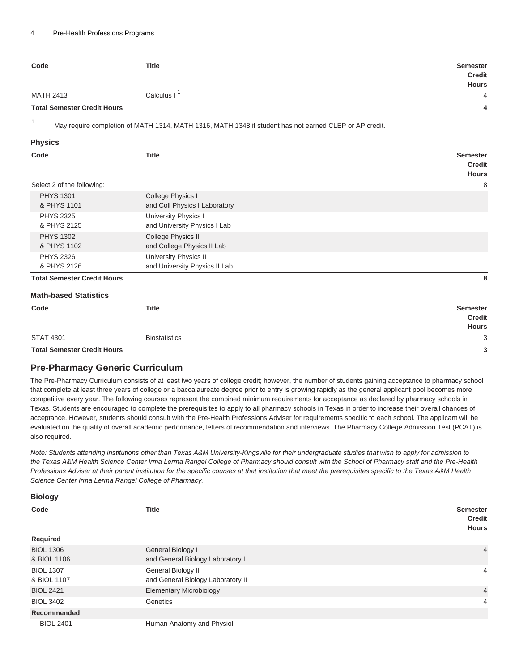| Code                               | <b>Title</b>                                                                                           | <b>Semester</b><br><b>Credit</b><br><b>Hours</b> |
|------------------------------------|--------------------------------------------------------------------------------------------------------|--------------------------------------------------|
| <b>MATH 2413</b>                   | Calculus I <sup>1</sup>                                                                                | 4                                                |
| <b>Total Semester Credit Hours</b> |                                                                                                        | 4                                                |
| $\mathbf{1}$                       | May require completion of MATH 1314, MATH 1316, MATH 1348 if student has not earned CLEP or AP credit. |                                                  |
| <b>Physics</b>                     |                                                                                                        |                                                  |
| Code                               | <b>Title</b>                                                                                           | <b>Semester</b><br><b>Credit</b><br><b>Hours</b> |
| Select 2 of the following:         |                                                                                                        | 8                                                |
| <b>PHYS 1301</b><br>& PHYS 1101    | College Physics I<br>and Coll Physics I Laboratory                                                     |                                                  |
| <b>PHYS 2325</b><br>& PHYS 2125    | University Physics I<br>and University Physics I Lab                                                   |                                                  |
| <b>PHYS 1302</b><br>& PHYS 1102    | College Physics II<br>and College Physics II Lab                                                       |                                                  |
| <b>PHYS 2326</b><br>& PHYS 2126    | University Physics II<br>and University Physics II Lab                                                 |                                                  |
| <b>Total Semester Credit Hours</b> |                                                                                                        | 8                                                |
| <b>Math-based Statistics</b>       |                                                                                                        |                                                  |
| Code                               | <b>Title</b>                                                                                           | <b>Semester</b><br><b>Credit</b><br><b>Hours</b> |
| <b>STAT 4301</b>                   | <b>Biostatistics</b>                                                                                   | 3                                                |
| <b>Total Semester Credit Hours</b> |                                                                                                        | 3                                                |

**Biology**

### **Pre-Pharmacy Generic Curriculum**

The Pre-Pharmacy Curriculum consists of at least two years of college credit; however, the number of students gaining acceptance to pharmacy school that complete at least three years of college or a baccalaureate degree prior to entry is growing rapidly as the general applicant pool becomes more competitive every year. The following courses represent the combined minimum requirements for acceptance as declared by pharmacy schools in Texas. Students are encouraged to complete the prerequisites to apply to all pharmacy schools in Texas in order to increase their overall chances of acceptance. However, students should consult with the Pre-Health Professions Adviser for requirements specific to each school. The applicant will be evaluated on the quality of overall academic performance, letters of recommendation and interviews. The Pharmacy College Admission Test (PCAT) is also required.

Note: Students attending institutions other than Texas A&M University-Kingsville for their undergraduate studies that wish to apply for admission to the Texas A&M Health Science Center Irma Lerma Rangel College of Pharmacy should consult with the School of Pharmacy staff and the Pre-Health Professions Adviser at their parent institution for the specific courses at that institution that meet the prerequisites specific to the Texas A&M Health Science Center Irma Lerma Rangel College of Pharmacy.

| ப்பப்பூர்                       |                                                         |                                                  |
|---------------------------------|---------------------------------------------------------|--------------------------------------------------|
| Code                            | <b>Title</b>                                            | <b>Semester</b><br><b>Credit</b><br><b>Hours</b> |
| Required                        |                                                         |                                                  |
| <b>BIOL 1306</b><br>& BIOL 1106 | General Biology I<br>and General Biology Laboratory I   | $\overline{4}$                                   |
| <b>BIOL 1307</b><br>& BIOL 1107 | General Biology II<br>and General Biology Laboratory II | 4                                                |
| <b>BIOL 2421</b>                | <b>Elementary Microbiology</b>                          | $\overline{4}$                                   |
| <b>BIOL 3402</b>                | Genetics                                                | 4                                                |
| <b>Recommended</b>              |                                                         |                                                  |
| <b>BIOL 2401</b>                | Human Anatomy and Physiol                               |                                                  |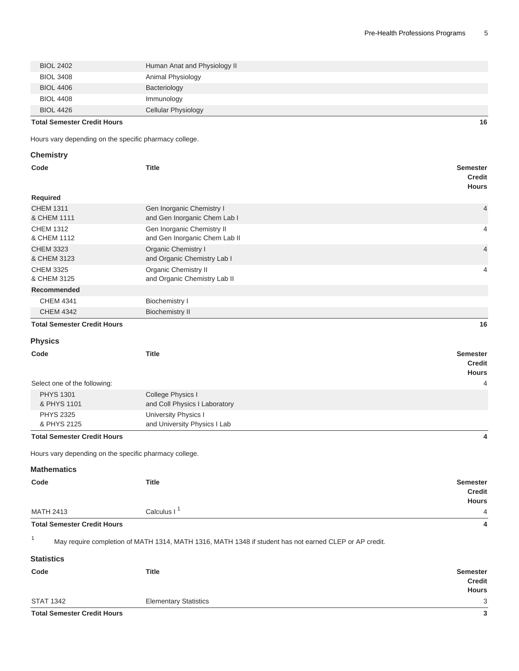| <b>BIOL 4406</b>                     | Bacteriology        |
|--------------------------------------|---------------------|
| <b>BIOL 4408</b><br><b>BIOL 4426</b> | Immunology          |
|                                      | Cellular Physiology |

**Total Semester Credit Hours 16**

Hours vary depending on the specific pharmacy college.

| <b>Chemistry</b>                                       |                                                                                                        |                                                  |
|--------------------------------------------------------|--------------------------------------------------------------------------------------------------------|--------------------------------------------------|
| Code                                                   | <b>Title</b>                                                                                           | <b>Semester</b><br><b>Credit</b><br><b>Hours</b> |
| <b>Required</b>                                        |                                                                                                        |                                                  |
| <b>CHEM 1311</b><br>& CHEM 1111                        | Gen Inorganic Chemistry I<br>and Gen Inorganic Chem Lab I                                              | 4                                                |
| <b>CHEM 1312</b><br>& CHEM 1112                        | Gen Inorganic Chemistry II<br>and Gen Inorganic Chem Lab II                                            | 4                                                |
| <b>CHEM 3323</b><br>& CHEM 3123                        | Organic Chemistry I<br>and Organic Chemistry Lab I                                                     | 4                                                |
| <b>CHEM 3325</b><br>& CHEM 3125                        | <b>Organic Chemistry II</b><br>and Organic Chemistry Lab II                                            | 4                                                |
| <b>Recommended</b>                                     |                                                                                                        |                                                  |
| <b>CHEM 4341</b>                                       | <b>Biochemistry I</b>                                                                                  |                                                  |
| <b>CHEM 4342</b>                                       | <b>Biochemistry II</b>                                                                                 |                                                  |
| <b>Total Semester Credit Hours</b>                     |                                                                                                        | 16                                               |
|                                                        |                                                                                                        |                                                  |
| <b>Physics</b>                                         |                                                                                                        |                                                  |
| Code                                                   | <b>Title</b>                                                                                           | <b>Semester</b><br><b>Credit</b><br><b>Hours</b> |
| Select one of the following:                           |                                                                                                        | $\overline{4}$                                   |
| <b>PHYS 1301</b>                                       | College Physics I                                                                                      |                                                  |
| & PHYS 1101                                            | and Coll Physics I Laboratory                                                                          |                                                  |
| <b>PHYS 2325</b>                                       | University Physics I                                                                                   |                                                  |
| & PHYS 2125                                            | and University Physics I Lab                                                                           |                                                  |
| <b>Total Semester Credit Hours</b>                     |                                                                                                        | 4                                                |
| Hours vary depending on the specific pharmacy college. |                                                                                                        |                                                  |
| <b>Mathematics</b>                                     |                                                                                                        |                                                  |
| Code                                                   | <b>Title</b>                                                                                           | <b>Semester</b><br><b>Credit</b><br><b>Hours</b> |
| <b>MATH 2413</b>                                       | Calculus I <sup>1</sup>                                                                                | 4                                                |
| <b>Total Semester Credit Hours</b>                     |                                                                                                        | 4                                                |
| $\mathbf{1}$                                           | May require completion of MATH 1314, MATH 1316, MATH 1348 if student has not earned CLEP or AP credit. |                                                  |
| <b>Statistics</b>                                      |                                                                                                        |                                                  |
| Code                                                   | <b>Title</b>                                                                                           | <b>Semester</b><br><b>Credit</b><br><b>Hours</b> |

STAT 1342 Elementary Statistics 3<br>
Total Semester Credit Hours 3<br>
3 **Total Semester Credit Hours 3**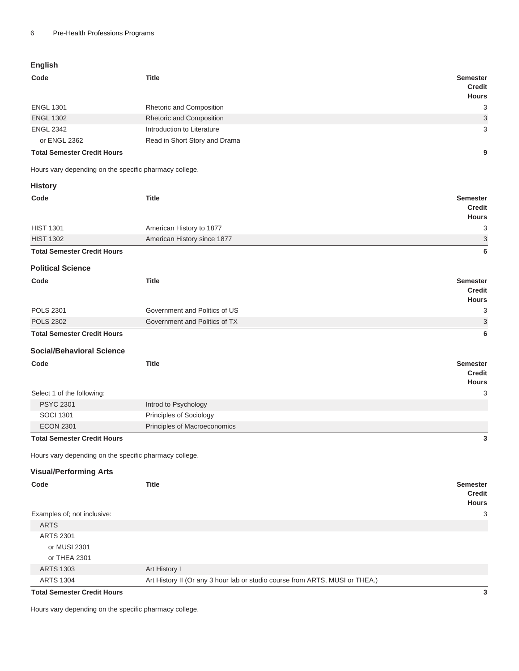## **English**

| Code                                                   | <b>Title</b>                  | <b>Semester</b><br><b>Credit</b><br><b>Hours</b> |
|--------------------------------------------------------|-------------------------------|--------------------------------------------------|
| <b>ENGL 1301</b>                                       | Rhetoric and Composition      | 3                                                |
| <b>ENGL 1302</b>                                       | Rhetoric and Composition      | 3                                                |
| <b>ENGL 2342</b>                                       | Introduction to Literature    | 3                                                |
| or ENGL 2362                                           | Read in Short Story and Drama |                                                  |
| <b>Total Semester Credit Hours</b>                     |                               | 9                                                |
| Hours vary depending on the specific pharmacy college. |                               |                                                  |
| <b>History</b>                                         |                               |                                                  |
| Code                                                   | <b>Title</b>                  | <b>Semester</b><br><b>Credit</b><br><b>Hours</b> |
| <b>HIST 1301</b>                                       | American History to 1877      | 3                                                |
| <b>HIST 1302</b>                                       | American History since 1877   | 3                                                |
| <b>Total Semester Credit Hours</b>                     |                               | 6                                                |
|                                                        |                               |                                                  |
| <b>Political Science</b>                               |                               |                                                  |
| Code                                                   | <b>Title</b>                  | <b>Semester</b><br><b>Credit</b><br><b>Hours</b> |
| <b>POLS 2301</b>                                       | Government and Politics of US | 3                                                |
| <b>POLS 2302</b>                                       | Government and Politics of TX | 3                                                |
| <b>Total Semester Credit Hours</b>                     |                               | 6                                                |
| <b>Social/Behavioral Science</b>                       |                               |                                                  |
| Code                                                   | <b>Title</b>                  | <b>Semester</b><br><b>Credit</b><br><b>Hours</b> |
| Select 1 of the following:                             |                               | 3                                                |
| <b>PSYC 2301</b>                                       | Introd to Psychology          |                                                  |
| <b>SOCI 1301</b>                                       | Principles of Sociology       |                                                  |
| <b>ECON 2301</b>                                       | Principles of Macroeconomics  |                                                  |
| <b>Total Semester Credit Hours</b>                     |                               | 3                                                |
| Hours vary depending on the specific pharmacy college. |                               |                                                  |
|                                                        |                               |                                                  |
| <b>Visual/Performing Arts</b>                          |                               |                                                  |
| Code                                                   | <b>Title</b>                  | <b>Semester</b><br><b>Credit</b>                 |
|                                                        |                               | <b>Hours</b><br>3                                |
| Examples of; not inclusive:<br><b>ARTS</b>             |                               |                                                  |
| <b>ARTS 2301</b>                                       |                               |                                                  |
| or MUSI 2301                                           |                               |                                                  |
| or THEA 2301                                           |                               |                                                  |
| <b>ARTS 1303</b>                                       | Art History I                 |                                                  |

**Total Semester Credit Hours 3**

Hours vary depending on the specific pharmacy college.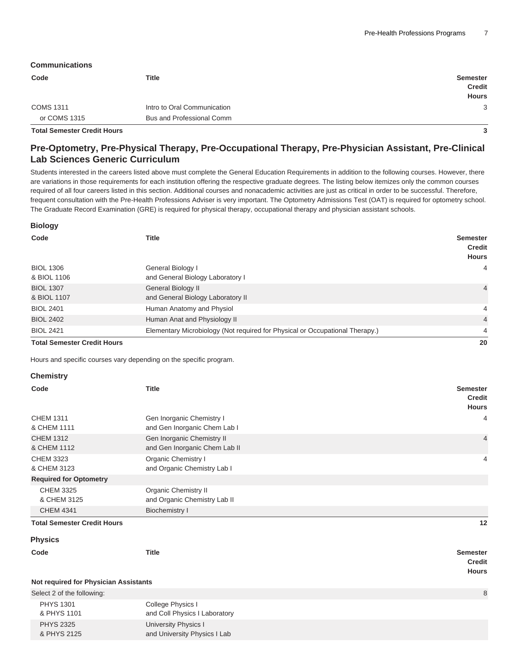#### **Communications**

| Code                               | Title                       | Semester<br><b>Credit</b> |
|------------------------------------|-----------------------------|---------------------------|
|                                    |                             | <b>Hours</b>              |
| <b>COMS 1311</b>                   | Intro to Oral Communication | 3                         |
| or COMS 1315                       | Bus and Professional Comm   |                           |
| <b>Total Semester Credit Hours</b> |                             |                           |

### **Pre-Optometry, Pre-Physical Therapy, Pre-Occupational Therapy, Pre-Physician Assistant, Pre-Clinical Lab Sciences Generic Curriculum**

Students interested in the careers listed above must complete the General Education Requirements in addition to the following courses. However, there are variations in those requirements for each institution offering the respective graduate degrees. The listing below itemizes only the common courses required of all four careers listed in this section. Additional courses and nonacademic activities are just as critical in order to be successful. Therefore, frequent consultation with the Pre-Health Professions Adviser is very important. The Optometry Admissions Test (OAT) is required for optometry school. The Graduate Record Examination (GRE) is required for physical therapy, occupational therapy and physician assistant schools.

#### **Biology**

| Code                               | <b>Title</b>                                                                 | <b>Semester</b><br>Credit<br><b>Hours</b> |
|------------------------------------|------------------------------------------------------------------------------|-------------------------------------------|
| <b>BIOL 1306</b><br>& BIOL 1106    | General Biology I<br>and General Biology Laboratory I                        | $\overline{4}$                            |
| <b>BIOL 1307</b><br>& BIOL 1107    | General Biology II<br>and General Biology Laboratory II                      | $\overline{4}$                            |
| <b>BIOL 2401</b>                   | Human Anatomy and Physiol                                                    | 4                                         |
| <b>BIOL 2402</b>                   | Human Anat and Physiology II                                                 | $\overline{4}$                            |
| <b>BIOL 2421</b>                   | Elementary Microbiology (Not required for Physical or Occupational Therapy.) | $\overline{4}$                            |
| <b>Total Semester Credit Hours</b> |                                                                              | 20                                        |

Hours and specific courses vary depending on the specific program.

#### **Chemistry**

| Code<br><b>Title</b>               |                                                             | <b>Semester</b><br><b>Credit</b><br><b>Hours</b> |  |
|------------------------------------|-------------------------------------------------------------|--------------------------------------------------|--|
| <b>CHEM 1311</b><br>& CHEM 1111    | Gen Inorganic Chemistry I<br>and Gen Inorganic Chem Lab I   | 4                                                |  |
| <b>CHEM 1312</b><br>& CHEM 1112    | Gen Inorganic Chemistry II<br>and Gen Inorganic Chem Lab II | $\overline{4}$                                   |  |
| <b>CHEM 3323</b><br>& CHEM 3123    | <b>Organic Chemistry I</b><br>and Organic Chemistry Lab I   | 4                                                |  |
| <b>Required for Optometry</b>      |                                                             |                                                  |  |
| <b>CHEM 3325</b><br>& CHEM 3125    | <b>Organic Chemistry II</b><br>and Organic Chemistry Lab II |                                                  |  |
| <b>CHEM 4341</b>                   | Biochemistry I                                              |                                                  |  |
| <b>Total Semester Credit Hours</b> |                                                             | 12                                               |  |

#### **Physics**

**Code Title Semester**

**Credit Hours**

|  |  |  |  | Not required for Physician Assistants |
|--|--|--|--|---------------------------------------|
|--|--|--|--|---------------------------------------|

| Select 2 of the following: |                               |  |
|----------------------------|-------------------------------|--|
| <b>PHYS 1301</b>           | College Physics I             |  |
| & PHYS 1101                | and Coll Physics I Laboratory |  |
| <b>PHYS 2325</b>           | University Physics I          |  |
| & PHYS 2125                | and University Physics I Lab  |  |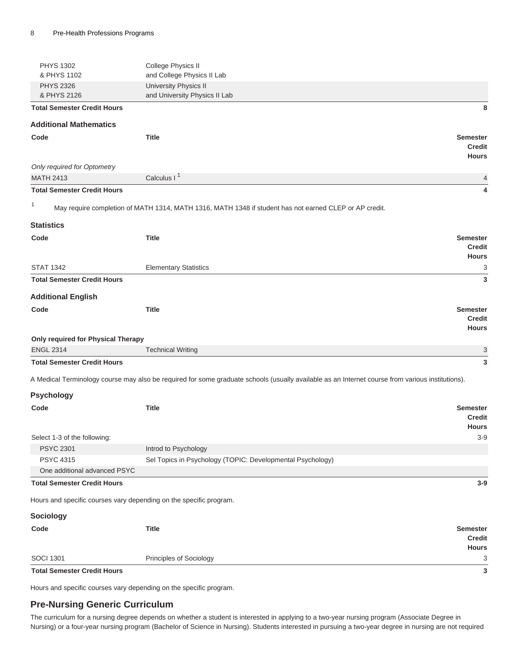| <b>PHYS 1302</b><br>& PHYS 1102                  | College Physics II<br>and College Physics II Lab                                                                                                 |                                                  |
|--------------------------------------------------|--------------------------------------------------------------------------------------------------------------------------------------------------|--------------------------------------------------|
| <b>PHYS 2326</b><br>& PHYS 2126                  | University Physics II<br>and University Physics II Lab                                                                                           |                                                  |
| <b>Total Semester Credit Hours</b>               |                                                                                                                                                  | 8                                                |
| <b>Additional Mathematics</b>                    |                                                                                                                                                  |                                                  |
| Code                                             | <b>Title</b>                                                                                                                                     | <b>Semester</b><br><b>Credit</b><br><b>Hours</b> |
| Only required for Optometry                      |                                                                                                                                                  |                                                  |
| <b>MATH 2413</b>                                 | Calculus I <sup>1</sup>                                                                                                                          | 4                                                |
| <b>Total Semester Credit Hours</b>               |                                                                                                                                                  | 4                                                |
| $\mathbf{1}$                                     | May require completion of MATH 1314, MATH 1316, MATH 1348 if student has not earned CLEP or AP credit.                                           |                                                  |
| <b>Statistics</b>                                |                                                                                                                                                  |                                                  |
| Code                                             | <b>Title</b>                                                                                                                                     | <b>Semester</b>                                  |
|                                                  |                                                                                                                                                  | Credit                                           |
| <b>STAT 1342</b>                                 | <b>Elementary Statistics</b>                                                                                                                     | <b>Hours</b><br>3                                |
| <b>Total Semester Credit Hours</b>               |                                                                                                                                                  | 3                                                |
|                                                  |                                                                                                                                                  |                                                  |
| <b>Additional English</b>                        |                                                                                                                                                  |                                                  |
| Code                                             | <b>Title</b>                                                                                                                                     | <b>Semester</b><br><b>Credit</b><br><b>Hours</b> |
| Only required for Physical Therapy               |                                                                                                                                                  |                                                  |
| <b>ENGL 2314</b>                                 | <b>Technical Writing</b>                                                                                                                         | 3                                                |
| <b>Total Semester Credit Hours</b>               |                                                                                                                                                  | 3                                                |
|                                                  | A Medical Terminology course may also be required for some graduate schools (usually available as an Internet course from various institutions). |                                                  |
| <b>Psychology</b>                                |                                                                                                                                                  |                                                  |
| Code                                             | <b>Title</b>                                                                                                                                     | <b>Semester</b><br><b>Credit</b>                 |
|                                                  |                                                                                                                                                  | <b>Hours</b>                                     |
| Select 1-3 of the following:<br><b>PSYC 2301</b> | Introd to Psychology                                                                                                                             | $3-9$                                            |
| <b>PSYC 4315</b>                                 | Sel Topics in Psychology (TOPIC: Developmental Psychology)                                                                                       |                                                  |
| One additional advanced PSYC                     |                                                                                                                                                  |                                                  |
| <b>Total Semester Credit Hours</b>               |                                                                                                                                                  | $3-9$                                            |
|                                                  | Hours and specific courses vary depending on the specific program.                                                                               |                                                  |
| Sociology                                        |                                                                                                                                                  |                                                  |
| Code                                             | <b>Title</b>                                                                                                                                     | <b>Semester</b>                                  |
|                                                  |                                                                                                                                                  | <b>Credit</b>                                    |
|                                                  |                                                                                                                                                  | <b>Hours</b>                                     |
| <b>SOCI 1301</b>                                 | Principles of Sociology                                                                                                                          | 3                                                |
| <b>Total Semester Credit Hours</b>               |                                                                                                                                                  | 3                                                |

Hours and specific courses vary depending on the specific program.

### **Pre-Nursing Generic Curriculum**

The curriculum for a nursing degree depends on whether a student is interested in applying to a two-year nursing program (Associate Degree in Nursing) or a four-year nursing program (Bachelor of Science in Nursing). Students interested in pursuing a two-year degree in nursing are not required